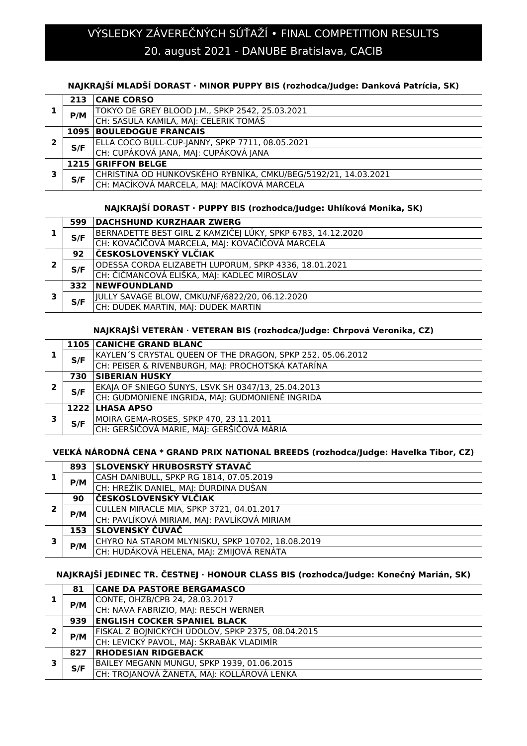# 20. august 2021 - DANUBE Bratislava, CACIB VÝSLEDKY ZÁVEREČNÝCH SÚŤAŽÍ • FINAL COMPETITION RESULTS

# **NAJKRAJŠÍ MLADŠÍ DORAST · MINOR PUPPY BIS (rozhodca/Judge: Danková Patrícia, SK)**

|   | 213 | <b>CANE CORSO</b>                                              |
|---|-----|----------------------------------------------------------------|
|   | P/M | TOKYO DE GREY BLOOD J.M., SPKP 2542, 25.03.2021                |
|   |     | CH: SASULA KAMILA, MAJ: CELERIK TOMÁŠ                          |
|   |     | <b>1095 BOULEDOGUE FRANCAIS</b>                                |
| 2 | S/F | ELLA COCO BULL-CUP-JANNY, SPKP 7711, 08.05.2021                |
|   |     | CH: CUPÁKOVÁ JANA, MAJ: CUPÁKOVÁ JANA                          |
|   |     | <b>1215 GRIFFON BELGE</b>                                      |
| 3 | S/F | CHRISTINA OD HUNKOVSKÉHO RYBNÍKA, CMKU/BEG/5192/21, 14.03.2021 |
|   |     | CH: MACÍKOVÁ MARCELA, MAJ: MACÍKOVÁ MARCELA                    |

# **NAJKRAJŠÍ DORAST · PUPPY BIS (rozhodca/Judge: Uhlíková Monika, SK)**

|   | 599 | <b>DACHSHUND KURZHAAR ZWERG</b>                             |
|---|-----|-------------------------------------------------------------|
|   | S/F | BERNADETTE BEST GIRL Z KAMZIČEJ LÚKY, SPKP 6783, 14.12.2020 |
|   |     | CH: KOVAČIČOVÁ MARCELA, MAJ: KOVAČIČOVÁ MARCELA             |
|   | 92  | ČESKOSLOVENSKÝ VLČIAK                                       |
| 2 | S/F | ODESSA CORDA ELIZABETH LUPORUM, SPKP 4336, 18.01.2021       |
|   |     | CH: ČIČMANCOVÁ ELIŠKA, MAJ: KADLEC MIROSLAV                 |
|   | 332 | <b>NEWFOUNDLAND</b>                                         |
| З | S/F | JULLY SAVAGE BLOW, CMKU/NF/6822/20, 06.12.2020              |
|   |     | CH: DUDEK MARTIN, MAJ: DUDEK MARTIN                         |

### **NAJKRAJŠÍ VETERÁN · VETERAN BIS (rozhodca/Judge: Chrpová Veronika, CZ)**

|   |     | <b>1105 CANICHE GRAND BLANC</b>                            |
|---|-----|------------------------------------------------------------|
|   | S/F | KAYLEN'S CRYSTAL QUEEN OF THE DRAGON, SPKP 252, 05.06.2012 |
|   |     | CH: PEISER & RIVENBURGH, MAJ: PROCHOTSKÁ KATARÍNA          |
| 2 | 730 | <b>SIBERIAN HUSKY</b>                                      |
|   | S/F | EKAJA OF SNIEGO ŠUNYS, LSVK SH 0347/13, 25.04.2013         |
|   |     | CH: GUDMONIENE INGRIDA, MAI: GUDMONIENÉ INGRIDA            |
|   |     | 1222 LHASA APSO                                            |
| כ |     | MOIRA GEMA-ROSES, SPKP 470, 23.11.2011                     |
|   | S/F | $ {\sf CH}\rangle$ : GERŠIČOVÁ MARIE, MAJ: GERŠIČOVÁ MÁRIA |

# **VEĽKÁ NÁRODNÁ CENA \* GRAND PRIX NATIONAL BREEDS (rozhodca/Judge: Havelka Tibor, CZ)**

|   |     | 893 SLOVENSKÝ HRUBOSRSTÝ STAVAČ                  |
|---|-----|--------------------------------------------------|
|   | P/M | CASH DANIBULL, SPKP RG 1814, 07.05.2019          |
|   |     | CH: HREŽÍK DANIEL, MAJ: ĎURDINA DUŠAN            |
|   | 90  | ČESKOSLOVENSKÝ VLČIAK                            |
|   | P/M | CULLEN MIRACLE MIA, SPKP 3721, 04.01.2017        |
|   |     | CH: PAVLÍKOVÁ MIRIAM, MAJ: PAVLÍKOVÁ MIRIAM      |
|   | 153 | SLOVENSKÝ ČUVAČ                                  |
| 3 |     | CHYRO NA STAROM MLYNISKU, SPKP 10702, 18.08.2019 |
|   | P/M | CH: HUDÁKOVÁ HELENA, MAJ: ZMIJOVÁ RENÁTA         |

## **NAJKRAJŠÍ JEDINEC TR. ČESTNEJ · HONOUR CLASS BIS (rozhodca/Judge: Konečný Marián, SK)**

|  | 81  | <b>CANE DA PASTORE BERGAMASCO</b>                 |
|--|-----|---------------------------------------------------|
|  | P/M | CONTE, OHZB/CPB 24, 28.03.2017                    |
|  |     | CH: NAVA FABRIZIO, MAJ: RESCH WERNER              |
|  | 939 | <b>ENGLISH COCKER SPANIEL BLACK</b>               |
|  | P/M | FISKAL Z BOJNICKÝCH ÚDOLOV, SPKP 2375, 08.04.2015 |
|  |     | CH: LEVICKÝ PAVOL, MAJ: ŠKRABÁK VLADIMÍR          |
|  | 827 | <b>RHODESIAN RIDGEBACK</b>                        |
|  | S/F | BAILEY MEGANN MUNGU, SPKP 1939, 01.06.2015        |
|  |     | CH: TROJANOVÁ ŽANETA, MAJ: KOLLÁROVÁ LENKA        |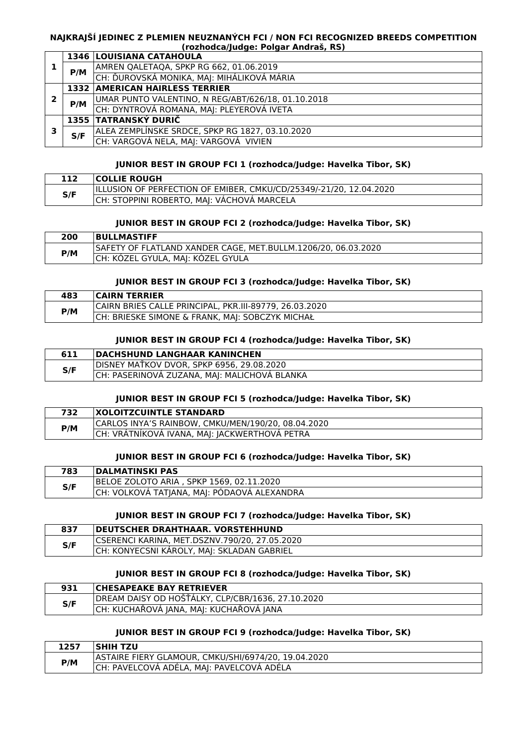#### **NAJKRAJŠÍ JEDINEC Z PLEMIEN NEUZNANÝCH FCI / NON FCI RECOGNIZED BREEDS COMPETITION (rozhodca/Judge: Polgar Andraš, RS)**

|   |     | 1346 LOUISIANA CATAHOULA                           |
|---|-----|----------------------------------------------------|
|   | P/M | AMREN QALETAQA, SPKP RG 662, 01.06.2019            |
|   |     | CH: ĎUROVSKÁ MONIKA, MAJ: MIHÁLIKOVÁ MÁRIA         |
|   |     | <b>1332 AMERICAN HAIRLESS TERRIER</b>              |
| 2 | P/M | UMAR PUNTO VALENTINO, N REG/ABT/626/18, 01.10.2018 |
|   |     | CH: DYNTROVÁ ROMANA, MAJ: PLEYEROVÁ IVETA          |
|   |     | 1355 TATRANSKÝ DURIČ                               |
| 3 | S/F | ALEA ZEMPLÍNSKE SRDCE, SPKP RG 1827, 03.10.2020    |
|   |     | CH: VARGOVÁ NELA, MAJ: VARGOVÁ VIVIEN              |

#### **JUNIOR BEST IN GROUP FCI 1 (rozhodca/Judge: Havelka Tibor, SK)**

|     | <b>COLLIE ROUGH</b>                                                 |
|-----|---------------------------------------------------------------------|
|     | IILLUSION OF PERFECTION OF EMIBER, CMKU/CD/25349/-21/20, 12.04.2020 |
| S/F | CH: STOPPINI ROBERTO, MAJ: VÁCHOVÁ MARCELA                          |

#### **JUNIOR BEST IN GROUP FCI 2 (rozhodca/Judge: Havelka Tibor, SK)**

| 200 | <b>BULLMASTIFF</b>                                            |
|-----|---------------------------------------------------------------|
| P/M | SAFETY OF FLATLAND XANDER CAGE. MET.BULLM.1206/20. 06.03.2020 |
|     | CH: KÖZEL GYULA, MAJ: KOZEL GYULA                             |

### **JUNIOR BEST IN GROUP FCI 3 (rozhodca/Judge: Havelka Tibor, SK)**

| 483 | <b>CAIRN TERRIER</b>                                   |
|-----|--------------------------------------------------------|
| P/M | CAIRN BRIES CALLE PRINCIPAL, PKR.III-89779, 26.03.2020 |
|     | ICH: BRIESKE SIMONE & FRANK, MAI: SOBCZYK MICHAŁ       |

#### **JUNIOR BEST IN GROUP FCI 4 (rozhodca/Judge: Havelka Tibor, SK)**

| 611 | <b>DACHSHUND LANGHAAR KANINCHEN</b>          |
|-----|----------------------------------------------|
| S/F | IDISNEY MATKOV DVOR. SPKP 6956. 29.08.2020   |
|     | CH: PASERINOVÁ ZUZANA, MAJ: MALICHOVÁ BLANKA |
|     |                                              |

#### **JUNIOR BEST IN GROUP FCI 5 (rozhodca/Judge: Havelka Tibor, SK)**

| 732 | <b>XOLOITZCUINTLE STANDARD</b>                     |
|-----|----------------------------------------------------|
| P/M | CARLOS INYA'S RAINBOW, CMKU/MEN/190/20, 08.04.2020 |
|     | CH: VRÁTNÍKOVÁ IVANA, MAJ: JACKWERTHOVÁ PETRA      |

#### **JUNIOR BEST IN GROUP FCI 6 (rozhodca/Judge: Havelka Tibor, SK)**

| 783 | <b>IDALMATINSKI PAS</b>                     |
|-----|---------------------------------------------|
| S/F | BELOE ZOLOTO ARIA , SPKP 1569, 02.11.2020   |
|     | CH: VOLKOVÁ TATJANA, MAJ: PÓDAOVÁ ALEXANDRA |

#### **JUNIOR BEST IN GROUP FCI 7 (rozhodca/Judge: Havelka Tibor, SK)**

| 837 | <b>IDEUTSCHER DRAHTHAAR. VORSTEHHUND</b>      |
|-----|-----------------------------------------------|
| S/F | CSERENCI KARINA, MET.DSZNV.790/20, 27.05.2020 |
|     | CH: KONYECSNI KÁROLY, MAJ: SKLADAN GABRIEL    |

#### **JUNIOR BEST IN GROUP FCI 8 (rozhodca/Judge: Havelka Tibor, SK)**

| 931 | <b>CHESAPEAKE BAY RETRIEVER</b>                   |
|-----|---------------------------------------------------|
| S/F | DREAM DAISY OD HOŠŤÁLKY, CLP/CBR/1636, 27.10.2020 |
|     | CH: KUCHAŘOVÁ JANA, MAJ: KUCHAŘOVÁ JANA           |

#### **JUNIOR BEST IN GROUP FCI 9 (rozhodca/Judge: Havelka Tibor, SK)**

| 1257 | <b>ISHIH TZU</b>                                    |
|------|-----------------------------------------------------|
| P/M  | ASTAIRE FIERY GLAMOUR, CMKU/SHI/6974/20, 19.04.2020 |
|      | CH: PAVELCOVÁ ADÉLA, MAJ: PAVELCOVÁ ADÉLA           |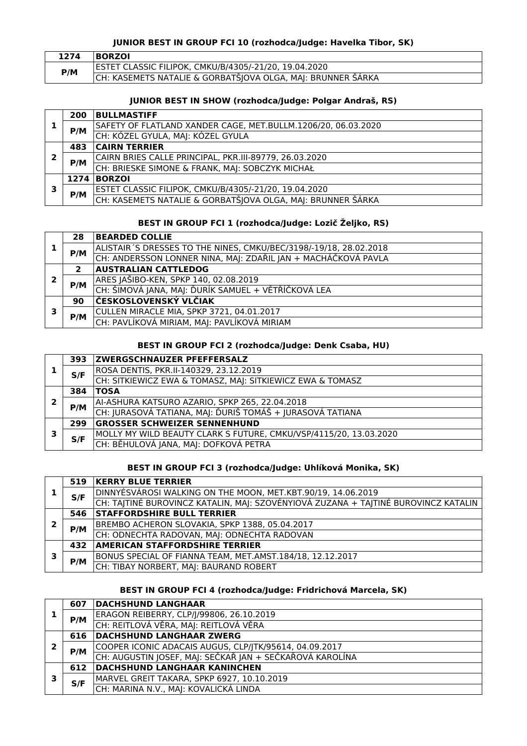# **JUNIOR BEST IN GROUP FCI 10 (rozhodca/Judge: Havelka Tibor, SK)**

| 1274 | <b>BORZOI</b>                                               |
|------|-------------------------------------------------------------|
| P/M  | ESTET CLASSIC FILIPOK, CMKU/B/4305/-21/20, 19.04.2020       |
|      | CH: KASEMETS NATALIE & GORBATŠJOVA OLGA, MAJ: BRUNNER ŠÁRKA |

# **JUNIOR BEST IN SHOW (rozhodca/Judge: Polgar Andraš, RS)**

|   | 200 | <b>BULLMASTIFF</b>                                            |
|---|-----|---------------------------------------------------------------|
|   | P/M | SAFETY OF FLATLAND XANDER CAGE, MET.BULLM.1206/20, 06.03.2020 |
|   |     | CH: KÓZEL GYULA, MAJ: KÓZEL GYULA                             |
|   | 483 | <b>CAIRN TERRIER</b>                                          |
| 2 | P/M | CAIRN BRIES CALLE PRINCIPAL, PKR.III-89779, 26.03.2020        |
|   |     | CH: BRIESKE SIMONE & FRANK, MAJ: SOBCZYK MICHAŁ               |
|   |     | 1274 BORZOI                                                   |
| 3 |     | ESTET CLASSIC FILIPOK, CMKU/B/4305/-21/20, 19.04.2020         |
|   | P/M | CH: KASEMETS NATALIE & GORBATŠJOVA OLGA, MAJ: BRUNNER ŠÁRKA   |

### **BEST IN GROUP FCI 1 (rozhodca/Judge: Lozič Željko, RS)**

|   | 28           | <b>BEARDED COLLIE</b>                                              |
|---|--------------|--------------------------------------------------------------------|
|   | P/M          | ALISTAIR 'S DRESSES TO THE NINES, CMKU/BEC/3198/-19/18, 28.02.2018 |
|   |              | CH: ANDERSSON LONNER NINA, MAJ: ZDAŘIL JAN + MACHÁČKOVÁ PAVLA      |
|   | $\mathbf{2}$ | <b>AUSTRALIAN CATTLEDOG</b>                                        |
| 2 | P/M          | ARES JAŠIBO-KEN, SPKP 140, 02.08.2019                              |
|   |              | CH: ŠIMOVÁ JANA, MAJ: ĎURÍK SAMUEL + VĚTŘÍČKOVÁ LEA                |
|   | 90           | ČESKOSLOVENSKÝ VLČIAK                                              |
| з | P/M          | CULLEN MIRACLE MIA, SPKP 3721, 04.01.2017                          |
|   |              | CH: PAVLÍKOVÁ MIRIAM, MAJ: PAVLÍKOVÁ MIRIAM                        |

# **BEST IN GROUP FCI 2 (rozhodca/Judge: Denk Csaba, HU)**

|   | 393 | <b>ZWERGSCHNAUZER PFEFFERSALZ</b>                                 |
|---|-----|-------------------------------------------------------------------|
|   | S/F | ROSA DENTIS, PKR.II-140329, 23.12.2019                            |
|   |     | CH: SITKIEWICZ EWA & TOMASZ, MAJ: SITKIEWICZ EWA & TOMASZ         |
|   | 384 | <b>TOSA</b>                                                       |
| 2 | P/M | AI-ASHURA KATSURO AZARIO, SPKP 265, 22.04.2018                    |
|   |     | CH: JURASOVÁ TATIANA, MAJ: ĎURIŠ TOMÁŠ + JURASOVÁ TATIANA         |
|   | 299 | <b>GROSSER SCHWEIZER SENNENHUND</b>                               |
| 3 | S/F | MOLLY MY WILD BEAUTY CLARK S FUTURE, CMKU/VSP/4115/20, 13.03.2020 |
|   |     | CH: BĚHULOVÁ JANA, MAJ: DOFKOVÁ PETRA                             |

# **BEST IN GROUP FCI 3 (rozhodca/Judge: Uhlíková Monika, SK)**

|   |     | 519   KERRY BLUE TERRIER                                                           |
|---|-----|------------------------------------------------------------------------------------|
|   | S/F | DINNYÉSVÁROSI WALKING ON THE MOON, MET.KBT.90/19, 14.06.2019                       |
|   |     | CH: TAJTINÉ BUROVINCZ KATALIN, MAJ: SZOVÉNYIOVÁ ZUZANA + TAJTINÉ BUROVINCZ KATALIN |
|   | 546 | <b>STAFFORDSHIRE BULL TERRIER</b>                                                  |
|   | P/M | BREMBO ACHERON SLOVAKIA, SPKP 1388, 05.04.2017                                     |
|   |     | CH: ODNECHTA RADOVAN, MAJ: ODNECHTA RADOVAN                                        |
|   | 432 | <b>AMERICAN STAFFORDSHIRE TERRIER</b>                                              |
| 3 | P/M | BONUS SPECIAL OF FIANNA TEAM, MET.AMST.184/18, 12.12.2017                          |
|   |     | CH: TIBAY NORBERT, MAJ: BAURAND ROBERT                                             |

# **BEST IN GROUP FCI 4 (rozhodca/Judge: Fridrichová Marcela, SK)**

|   | 607 | <b>DACHSHUND LANGHAAR</b>                                |
|---|-----|----------------------------------------------------------|
|   | P/M | ERAGON REIBERRY, CLP/J/99806, 26.10.2019                 |
|   |     | CH: REITLOVÁ VĚRA, MAJ: REITLOVÁ VĚRA                    |
|   | 616 | <b>DACHSHUND LANGHAAR ZWERG</b>                          |
| 2 | P/M | COOPER ICONIC ADACAIS AUGUS, CLP/JTK/95614, 04.09.2017   |
|   |     | CH: AUGUSTIN JOSEF, MAJ: SEČKAŘ JAN + SEČKAŘOVÁ KAROLÍNA |
|   | 612 | <b>DACHSHUND LANGHAAR KANINCHEN</b>                      |
| 3 |     | MARVEL GREIT TAKARA, SPKP 6927, 10.10.2019               |
|   | S/F | CH: MARINA N.V., MAJ: KOVALICKÁ LINDA                    |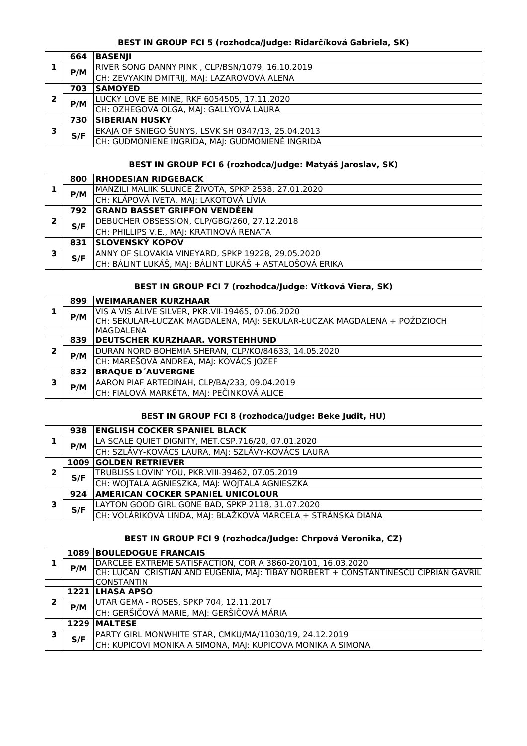# **BEST IN GROUP FCI 5 (rozhodca/Judge: Ridarčíková Gabriela, SK)**

|   | 664 | <b>BASENII</b>                                     |
|---|-----|----------------------------------------------------|
|   |     | RIVER SONG DANNY PINK, CLP/BSN/1079, 16.10.2019    |
|   | P/M | CH: ZEVYAKIN DMITRIJ, MAJ: LAZAROVOVÁ ALENA        |
|   | 703 | <b>SAMOYED</b>                                     |
| 2 | P/M | LUCKY LOVE BE MINE, RKF 6054505, 17.11.2020        |
|   |     | CH: OZHEGOVA OLGA, MAJ: GALLYOVÁ LAURA             |
|   | 730 | <b>SIBERIAN HUSKY</b>                              |
| э | S/F | EKAJA OF SNIEGO ŠUNYS, LSVK SH 0347/13, 25.04.2013 |
|   |     | CH: GUDMONIENE INGRIDA, MAJ: GUDMONIENÉ INGRIDA    |

# **BEST IN GROUP FCI 6 (rozhodca/Judge: Matyáš Jaroslav, SK)**

|   | 800 | <b>RHODESIAN RIDGEBACK</b>                             |
|---|-----|--------------------------------------------------------|
|   | P/M | MANZILI MALIIK SLUNCE ŽIVOTA, SPKP 2538, 27.01.2020    |
|   |     | CH: KLÁPOVÁ IVETA, MAJ: LAKOTOVÁ LÍVIA                 |
|   | 792 | <b>GRAND BASSET GRIFFON VENDÉEN</b>                    |
|   | S/F | DEBUCHER OBSESSION, CLP/GBG/260, 27.12.2018            |
|   |     | CH: PHILLIPS V.E., MAJ: KRATINOVÁ RENATA               |
|   | 831 | <b>SLOVENSKÝ KOPOV</b>                                 |
| 3 |     | ANNY OF SLOVAKIA VINEYARD, SPKP 19228, 29.05.2020      |
|   | S/F | CH: BÁLINT LUKÁŠ, MAJ: BÁLINT LUKÁŠ + ASTALOŠOVÁ ERIKA |

# **BEST IN GROUP FCI 7 (rozhodca/Judge: Vítková Viera, SK)**

|              | 899              | <b>WEIMARANER KURZHAAR</b>                                              |
|--------------|------------------|-------------------------------------------------------------------------|
|              |                  | VIS A VIS ALIVE SILVER, PKR.VII-19465, 07.06.2020                       |
|              | P/M              | CH: SEKULAR-ŁUCZAK MAGDALENA, MAJ: SEKULAR-ŁUCZAK MAGDALENA + POŹDZIOCH |
|              | <b>MAGDALENA</b> |                                                                         |
|              | 839              | <b>DEUTSCHER KURZHAAR. VORSTEHHUND</b>                                  |
| $\mathbf{2}$ | P/M              | DURAN NORD BOHEMIA SHERAN, CLP/KO/84633, 14.05.2020                     |
|              |                  | CH: MAREŠOVÁ ANDREA, MAJ: KOVÁCS JOZEF                                  |
|              | 832              | <b>BRAQUE D'AUVERGNE</b>                                                |
| 3            | P/M              | AARON PIAF ARTEDINAH, CLP/BA/233, 09.04.2019                            |
|              |                  | CH: FIALOVÁ MARKÉTA, MAJ: PEČINKOVÁ ALICE                               |

## **BEST IN GROUP FCI 8 (rozhodca/Judge: Beke Judit, HU)**

|   | 938 | <b>ENGLISH COCKER SPANIEL BLACK</b>                          |
|---|-----|--------------------------------------------------------------|
|   | P/M | LA SCALE QUIET DIGNITY, MET.CSP.716/20, 07.01.2020           |
|   |     | CH: SZLÁVY-KOVÁCS LAURA, MAJ: SZLÁVY-KOVÁCS LAURA            |
|   |     | 1009 GOLDEN RETRIEVER                                        |
|   | S/F | TRUBLISS LOVIN' YOU, PKR.VIII-39462, 07.05.2019              |
|   |     | CH: WOJTALA AGNIESZKA, MAJ: WOJTALA AGNIESZKA                |
| 3 | 924 | <b>AMERICAN COCKER SPANIEL UNICOLOUR</b>                     |
|   | S/F | LAYTON GOOD GIRL GONE BAD, SPKP 2118, 31.07.2020             |
|   |     | CH: VOLÁRIKOVÁ LINDA, MAJ: BLAŽKOVÁ MARCELA + STRÁNSKA DIANA |

# **BEST IN GROUP FCI 9 (rozhodca/Judge: Chrpová Veronika, CZ)**

|   |      | <b>1089 BOULEDOGUE FRANCAIS</b>                                                    |
|---|------|------------------------------------------------------------------------------------|
|   | P/M  | DARCLEE EXTREME SATISFACTION, COR A 3860-20/101, 16.03.2020                        |
|   |      | CH: LUCAN CRISTIAN AND EUGENIA, MAJ: TIBAY NORBERT + CONSTANTINESCU CIPRIAN GAVRIL |
|   |      | <b>CONSTANTIN</b>                                                                  |
| 2 |      | 1221 LHASA APSO                                                                    |
|   | P/M  | UTAR GEMA - ROSES, SPKP 704, 12.11.2017                                            |
|   |      | CH: GERŠIČOVÁ MARIE, MAJ: GERŠIČOVÁ MÁRIA                                          |
| 3 | 1229 | <b>MALTESE</b>                                                                     |
|   | S/F  | PARTY GIRL MONWHITE STAR, CMKU/MA/11030/19, 24.12.2019                             |
|   |      | CH: KUPICOVI MONIKA A SIMONA, MAJ: KUPICOVA MONIKA A SIMONA                        |